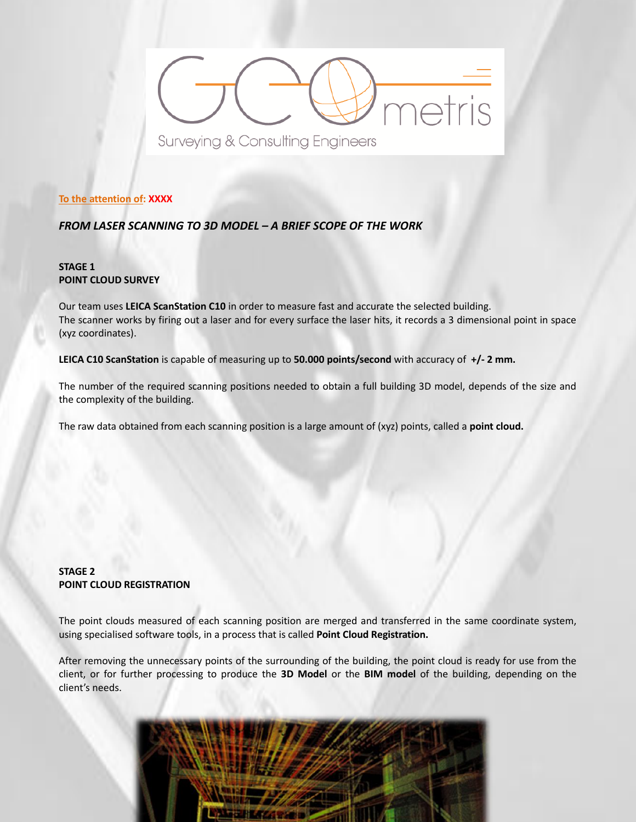# metris Surveying & Consulting Engineers

**To the attention of: XXXX**

*FROM LASER SCANNING TO 3D MODEL – A BRIEF SCOPE OF THE WORK*

## **STAGE 1 POINT CLOUD SURVEY**

Our team uses **LEICA ScanStation C10** in order to measure fast and accurate the selected building. The scanner works by firing out a laser and for every surface the laser hits, it records a 3 dimensional point in space (xyz coordinates).

**LEICA C10 ScanStation** is capable of measuring up to **50.000 points/second** with accuracy of **+/- 2 mm.**

The number of the required scanning positions needed to obtain a full building 3D model, depends of the size and the complexity of the building.

The raw data obtained from each scanning position is a large amount of (xyz) points, called a **point cloud.**

# **STAGE 2 POINT CLOUD REGISTRATION**

The point clouds measured of each scanning position are merged and transferred in the same coordinate system, using specialised software tools, in a process that is called **Point Cloud Registration.** 

After removing the unnecessary points of the surrounding of the building, the point cloud is ready for use from the client, or for further processing to produce the **3D Model** or the **BIM model** of the building, depending on the client's needs.

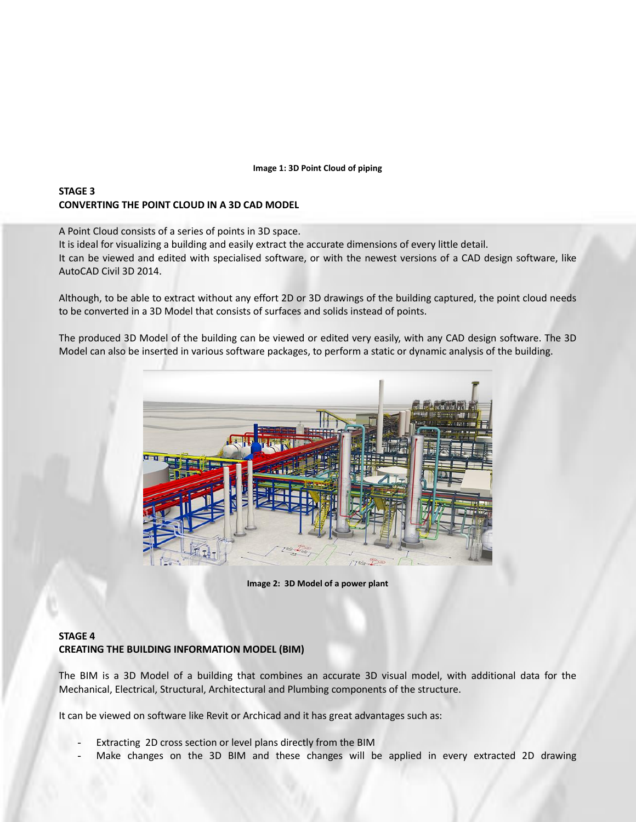#### **Image 1: 3D Point Cloud of piping**

### **STAGE 3 CONVERTING THE POINT CLOUD IN A 3D CAD MODEL**

A Point Cloud consists of a series of points in 3D space.

It is ideal for visualizing a building and easily extract the accurate dimensions of every little detail.

It can be viewed and edited with specialised software, or with the newest versions of a CAD design software, like AutoCAD Civil 3D 2014.

Although, to be able to extract without any effort 2D or 3D drawings of the building captured, the point cloud needs to be converted in a 3D Model that consists of surfaces and solids instead of points.

The produced 3D Model of the building can be viewed or edited very easily, with any CAD design software. The 3D Model can also be inserted in various software packages, to perform a static or dynamic analysis of the building.



**Image 2: 3D Model of a power plant**

## **STAGE 4 CREATING THE BUILDING INFORMATION MODEL (BIM)**

The BIM is a 3D Model of a building that combines an accurate 3D visual model, with additional data for the Mechanical, Electrical, Structural, Architectural and Plumbing components of the structure.

It can be viewed on software like Revit or Archicad and it has great advantages such as:

- Extracting 2D cross section or level plans directly from the BIM
- Make changes on the 3D BIM and these changes will be applied in every extracted 2D drawing